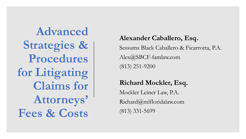**Advanced Strategies & Procedures for Litigating Claims for Attorneys' Fees & Costs**

#### **Alexander Caballero, Esq.**

Sessums Black Caballero & Ficarrotta, P.A. Alex@SBCF-famlaw.com (813) 251-9200

#### **Richard Mockler, Esq.**

Mockler Leiner Law, P.A. Richard@mlfloridalaw.com (813) 331-5699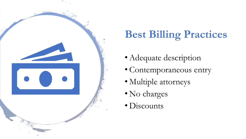

## **Best Billing Practices**

- Adequate description
- Contemporaneous entry
- Multiple attorneys
- No charges
- Discounts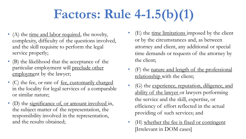# **Factors: Rule 4-1.5(b)(1)**

- (A) the time and labor required, the novelty, complexity, difficulty of the questions involved, and the skill requisite to perform the legal service properly;
- (B) the likelihood that the acceptance of the particular employment will preclude other employment by the lawyer;
- (C) the fee, or rate of <u>fee, customarily charged</u> in the locality for legal services of a comparable or similar nature;
- (D) the significance of, or amount involved in, the subject matter of the representation, the responsibility involved in the representation, and the results obtained;
- $(E)$  the <u>time limitations</u> imposed by the client or by the circumstances and, as between attorney and client, any additional or special time demands or requests of the attorney by the client;
- (F) the nature and length of the professional relationship with the client;
- (G) the experience, reputation, diligence, and ability of the lawyer or lawyers performing the service and the skill, expertise, or efficiency of effort reflected in the actual providing of such services; and
- (H) whether the fee is fixed or contingent [Irrelevant in DOM cases]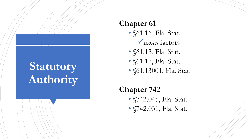## **Statutory Authority**

#### **Chapter 61**

- §61.16, Fla. Stat. ✓*Rosen* factors
- §61.13, Fla. Stat.
- §61.17, Fla. Stat.
- §61.13001, Fla. Stat.

#### **Chapter 742**

- §742.045, Fla. Stat.
- §742.031, Fla. Stat.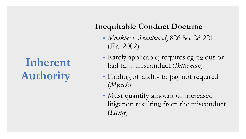## **Inherent Authority**

#### **Inequitable Conduct Doctrine**

- *Moakley v. Smallwood*, 826 So. 2d 221 (Fla. 2002)
- Rarely applicable; requires egregious or bad faith misconduct (*Bitterman*)
- Finding of ability to pay not required (*Myrick*)
- Must quantify amount of increased litigation resulting from the misconduct (*Heiny*)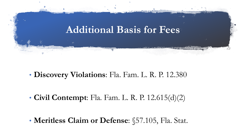

• **Discovery Violations**: Fla. Fam. L. R. P. 12.380

• **Civil Contempt**: Fla. Fam. L. R. P. 12.615(d)(2)

• **Meritless Claim or Defense**: §57.105, Fla. Stat.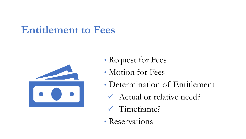## **Entitlement to Fees**



- Request for Fees
- Motion for Fees
- Determination of Entitlement
	- ✓ Actual or relative need?
	- ✓ Timeframe?
- Reservations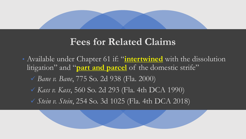#### **Fees for Related Claims**

• Available under Chapter 61 if: "**intertwined** with the dissolution litigation" and "**part and parcel** of the domestic strife" ✓ *Bane v. Bane*, 775 So. 2d 938 (Fla. 2000) ✓ *Kass v. Kass*, 560 So. 2d 293 (Fla. 4th DCA 1990) ✓ *Stein v. Stein*, 254 So. 3d 1025 (Fla. 4th DCA 2018)

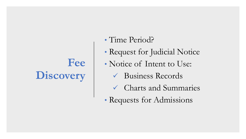## **Fee Discovery**

- Time Period?
- Request for Judicial Notice
- Notice of Intent to Use:
	- ✓ Business Records
	- ✓ Charts and Summaries
- Requests for Admissions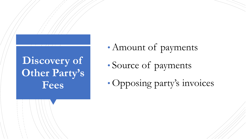## **Discovery of Other Party's Fees**

- Amount of payments
- Source of payments
- Opposing party's invoices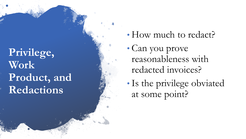**Privilege, Work Product, and Redactions**

- How much to redact?
- Can you prove reasonableness with redacted invoices?
- Is the privilege obviated at some point?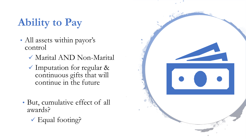## **Ability to Pay**

- All assets within payor's control
	- ✓ Marital AND Non-Marital
	- ✓ Imputation for regular & continuous gifts that will continue in the future
- But, cumulative effect of all awards?
	- $\checkmark$  Equal footing?

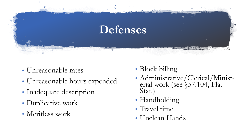

- Unreasonable rates
- Unreasonable hours expended
- Inadequate description
- Duplicative work
- Meritless work
- Block billing
- Administrative/Clerical/Ministerial work (see §57.104, Fla. Stat.)
- Handholding
- Travel time
- Unclean Hands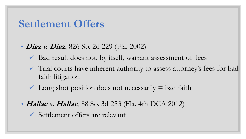#### **Settlement Offers**

- *Diaz v. Diaz*, 826 So. 2d 229 (Fla. 2002)
	- $\checkmark$  Bad result does not, by itself, warrant assessment of fees
	- ✓ Trial courts have inherent authority to assess attorney's fees for bad faith litigation
	- $\checkmark$  Long shot position does not necessarily  $=$  bad faith
- **Hallac v. Hallac**, 88 So. 3d 253 (Fla. 4th DCA 2012)
	- ✓ Settlement offers are relevant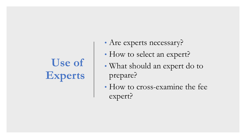# **Use of Experts**

- Are experts necessary?
- How to select an expert?
- What should an expert do to prepare?
- How to cross-examine the fee expert?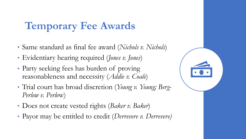## **Temporary Fee Awards**

- Same standard as final fee award (*Nichols v. Nichols*)
- Evidentiary hearing required (*Jones v. Jones*)
- Party seeking fees has burden of proving reasonableness and necessity (*Addie v. Coale*)
- Trial court has broad discretion (*Young v. Young; Berg-Perlow v. Perlo*w)
- Does not create vested rights (*Baker v. Baker*)
- Payor may be entitled to credit (*Derrevere v. Derrevere)*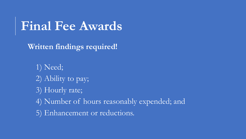## **Final Fee Awards**

• **Written findings required!** 

• 1) Need; • 2) Ability to pay; 3) Hourly rate;

• 4) Number of hours reasonably expended; and

• 5) Enhancement or reductions.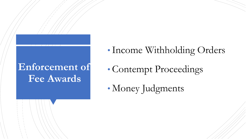## Enforcement of **Fee Awards**

- •Income Withholding Orders
- Contempt Proceedings
- Money Judgments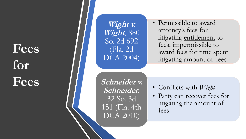# **Fees for Fees**

**Wight v. Wight**, 880 So. 2d 692 (Fla. 2d DCA 2004)

• Permissible to award attorney's fees for litigating entitlement to fees; impermissible to award fees for time spent litigating amount of fees

**Schneider v. Schneider**, 32 So. 3d 151 (Fla. 4th DCA 2010)

- Conflicts with *Wight*
- Party can recover fees for litigating the <u>amount</u> of fees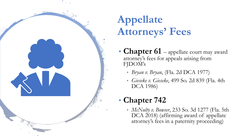

## **Appellate Attorneys' Fees**

- **Chapter 61** appellate court may award attorney's fees for appeals arising from FJDOM's
	- *Bryan v. Bryan*, (Fla. 2d DCA 1977)
	- *Gieseke v. Gieseke*, 499 So. 2d 839 (Fla. 4th DCA 1986)

#### • **Chapter 742**

• *McNulty v. Bowser*, 233 So. 3d 1277 (Fla. 5th DCA 2018) (affirming award of appellate attorney's fees in a paternity proceeding)